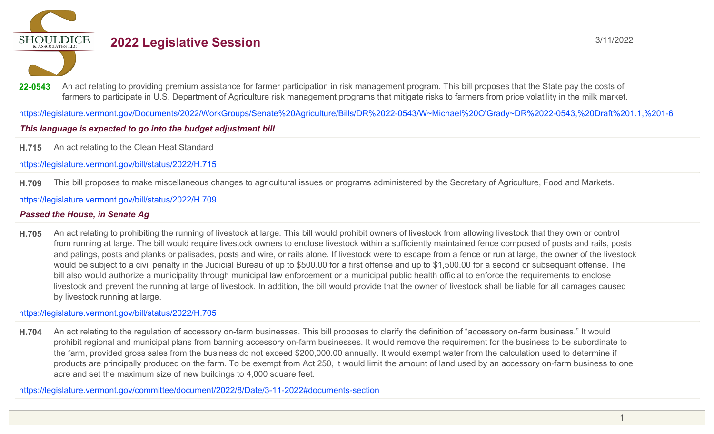**SHOULDICE** 

# **2022 Legislative Session** 3/11/2022

22-0543 An act relating to providing premium assistance for farmer participation in risk management program. This bill proposes that the State pay the costs of farmers to participate in U.S. Department of Agriculture risk management programs that mitigate risks to farmers from price volatility in the milk market.

https://legislature.vermont.gov/Documents/2022/WorkGroups/Senate%20Agriculture/Bills/DR%2022-0543/W~Michael%20O'Grady~DR%2022-0543,%20Draft%201.1,%201-6

# This language is expected to go into the budget adjustment bill

**H.715** An act relating to the Clean Heat Standard

https://legislature.vermont.gov/bill/status/2022/H.715

**H.709** This bill proposes to make miscellaneous changes to agricultural issues or programs administered by the Secretary of Agriculture, Food and Markets.

## https://legislature.vermont.gov/bill/status/2022/H.709

# *Passed the House, in Senate Ag*

**H.705** An act relating to prohibiting the running of livestock at large. This bill would prohibit owners of livestock from allowing livestock that they own or control from running at large. The bill would require livestock owners to enclose livestock within a sufficiently maintained fence composed of posts and rails, posts and palings, posts and planks or palisades, posts and wire, or rails alone. If livestock were to escape from a fence or run at large, the owner of the livestock would be subject to a civil penalty in the Judicial Bureau of up to \$500.00 for a first offense and up to \$1,500.00 for a second or subsequent offense. The bill also would authorize a municipality through municipal law enforcement or a municipal public health official to enforce the requirements to enclose livestock and prevent the running at large of livestock. In addition, the bill would provide that the owner of livestock shall be liable for all damages caused by livestock running at large.

https://legislature.vermont.gov/bill/status/2022/H.705

**H.704** An act relating to the regulation of accessory on-farm businesses. This bill proposes to clarify the definition of "accessory on-farm business." It would prohibit regional and municipal plans from banning accessory on-farm businesses. It would remove the requirement for the business to be subordinate to the farm, provided gross sales from the business do not exceed \$200,000.00 annually. It would exempt water from the calculation used to determine if products are principally produced on the farm. To be exempt from Act 250, it would limit the amount of land used by an accessory on-farm business to one acre and set the maximum size of new buildings to 4,000 square feet.

https://legislature.vermont.gov/committee/document/2022/8/Date/3-11-2022#documents-section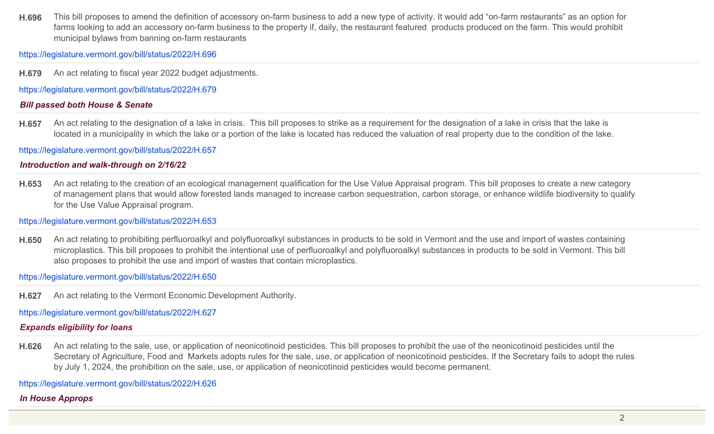**H.696** This bill proposes to amend the definition of accessory on-farm business to add a new type of activity. It would add "on-farm restaurants" as an option for farms looking to add an accessory on-farm business to the property if, daily, the restaurant featured products produced on the farm. This would prohibit municipal bylaws from banning on-farm restaurants

https://legislature.vermont.gov/bill/status/2022/H.696

**H.679** An act relating to fiscal year 2022 budget adjustments.

https://legislature.vermont.gov/bill/status/2022/H.679

## *Bill passed both House & Senate*

**H.657** An act relating to the designation of a lake in crisis. This bill proposes to strike as a requirement for the designation of a lake in crisis that the lake is located in a municipality in which the lake or a portion of the lake is located has reduced the valuation of real property due to the condition of the lake.

https://legislature.vermont.gov/bill/status/2022/H.657

## *Introduction and walk-through on 2/16/22*

**H.653** An act relating to the creation of an ecological management qualification for the Use Value Appraisal program. This bill proposes to create a new category of management plans that would allow forested lands managed to increase carbon sequestration, carbon storage, or enhance wildlife biodiversity to qualify for the Use Value Appraisal program.

https://legislature.vermont.gov/bill/status/2022/H.653

**H.650** An act relating to prohibiting perfluoroalkyl and polyfluoroalkyl substances in products to be sold in Vermont and the use and import of wastes containing microplastics. This bill proposes to prohibit the intentional use of perfluoroalkyl and polyfluoroalkyl substances in products to be sold in Vermont. This bill also proposes to prohibit the use and import of wastes that contain microplastics.

https://legislature.vermont.gov/bill/status/2022/H.650

**H.627** An act relating to the Vermont Economic Development Authority.

https://legislature.vermont.gov/bill/status/2022/H.627

# *Expands eligibility for loans*

**H.626** An act relating to the sale, use, or application of neonicotinoid pesticides. This bill proposes to prohibit the use of the neonicotinoid pesticides until the Secretary of Agriculture, Food and Markets adopts rules for the sale, use, or application of neonicotinoid pesticides. If the Secretary fails to adopt the rules by July 1, 2024, the prohibition on the sale, use, or application of neonicotinoid pesticides would become permanent.

https://legislature.vermont.gov/bill/status/2022/H.626

# *In House Approps*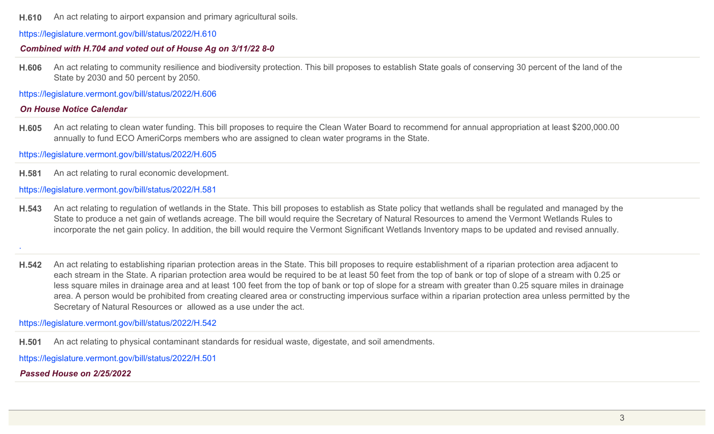**H.610** An act relating to airport expansion and primary agricultural soils.

https://legislature.vermont.gov/bill/status/2022/H.610

#### *Combined with H.704 and voted out of House Ag on 3/11/22 8-0*

**H.606** An act relating to community resilience and biodiversity protection. This bill proposes to establish State goals of conserving 30 percent of the land of the State by 2030 and 50 percent by 2050.

https://legislature.vermont.gov/bill/status/2022/H.606

## *On House Notice Calendar*

**H.605** An act relating to clean water funding. This bill proposes to require the Clean Water Board to recommend for annual appropriation at least \$200,000.00 annually to fund ECO AmeriCorps members who are assigned to clean water programs in the State.

https://legislature.vermont.gov/bill/status/2022/H.605

**H.581** An act relating to rural economic development.

#### https://legislature.vermont.gov/bill/status/2022/H.581

**H.543** An act relating to regulation of wetlands in the State. This bill proposes to establish as State policy that wetlands shall be regulated and managed by the State to produce a net gain of wetlands acreage. The bill would require the Secretary of Natural Resources to amend the Vermont Wetlands Rules to incorporate the net gain policy. In addition, the bill would require the Vermont Significant Wetlands Inventory maps to be updated and revised annually.

.

**H.542** An act relating to establishing riparian protection areas in the State. This bill proposes to require establishment of a riparian protection area adjacent to each stream in the State. A riparian protection area would be required to be at least 50 feet from the top of bank or top of slope of a stream with 0.25 or less square miles in drainage area and at least 100 feet from the top of bank or top of slope for a stream with greater than 0.25 square miles in drainage area. A person would be prohibited from creating cleared area or constructing impervious surface within a riparian protection area unless permitted by the Secretary of Natural Resources or allowed as a use under the act.

https://legislature.vermont.gov/bill/status/2022/H.542

**H.501** An act relating to physical contaminant standards for residual waste, digestate, and soil amendments.

https://legislature.vermont.gov/bill/status/2022/H.501

*Passed House on 2/25/2022*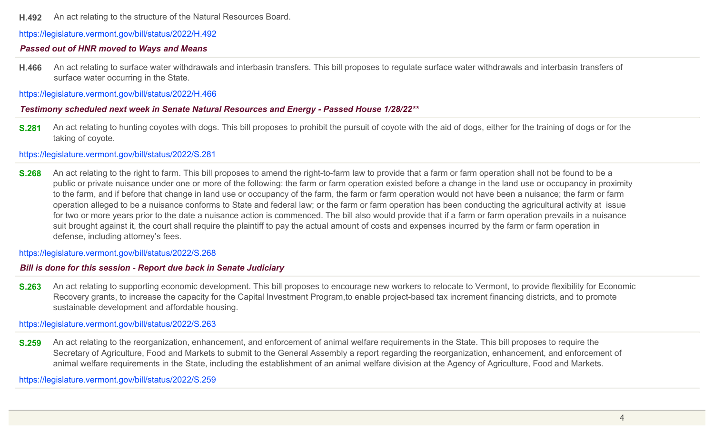#### **H.492** An act relating to the structure of the Natural Resources Board.

https://legislature.vermont.gov/bill/status/2022/H.492

#### *Passed out of HNR moved to Ways and Means*

**H.466** An act relating to surface water withdrawals and interbasin transfers. This bill proposes to regulate surface water withdrawals and interbasin transfers of surface water occurring in the State.

https://legislature.vermont.gov/bill/status/2022/H.466

#### *Testimony scheduled next week in Senate Natural Resources and Energy - Passed House 1/28/22\*\**

**S.281** An act relating to hunting coyotes with dogs. This bill proposes to prohibit the pursuit of coyote with the aid of dogs, either for the training of dogs or for the taking of coyote.

https://legislature.vermont.gov/bill/status/2022/S.281

**S.268** An act relating to the right to farm. This bill proposes to amend the right-to-farm law to provide that a farm or farm operation shall not be found to be a public or private nuisance under one or more of the following: the farm or farm operation existed before a change in the land use or occupancy in proximity to the farm, and if before that change in land use or occupancy of the farm, the farm or farm operation would not have been a nuisance; the farm or farm operation alleged to be a nuisance conforms to State and federal law; or the farm or farm operation has been conducting the agricultural activity at issue for two or more years prior to the date a nuisance action is commenced. The bill also would provide that if a farm or farm operation prevails in a nuisance suit brought against it, the court shall require the plaintiff to pay the actual amount of costs and expenses incurred by the farm or farm operation in defense, including attorney's fees.

https://legislature.vermont.gov/bill/status/2022/S.268

#### *Bill is done for this session - Report due back in Senate Judiciary*

**S.263** An act relating to supporting economic development. This bill proposes to encourage new workers to relocate to Vermont, to provide flexibility for Economic Recovery grants, to increase the capacity for the Capital Investment Program,to enable project-based tax increment financing districts, and to promote sustainable development and affordable housing.

https://legislature.vermont.gov/bill/status/2022/S.263

**S.259** An act relating to the reorganization, enhancement, and enforcement of animal welfare requirements in the State. This bill proposes to require the Secretary of Agriculture, Food and Markets to submit to the General Assembly a report regarding the reorganization, enhancement, and enforcement of animal welfare requirements in the State, including the establishment of an animal welfare division at the Agency of Agriculture, Food and Markets.

https://legislature.vermont.gov/bill/status/2022/S.259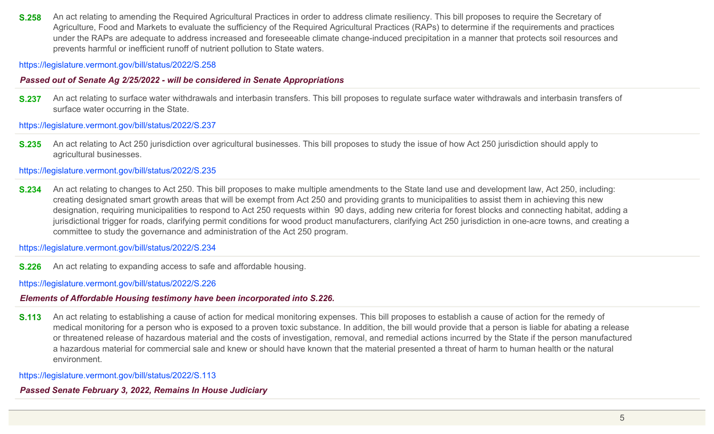**S.258** An act relating to amending the Required Agricultural Practices in order to address climate resiliency. This bill proposes to require the Secretary of Agriculture, Food and Markets to evaluate the sufficiency of the Required Agricultural Practices (RAPs) to determine if the requirements and practices under the RAPs are adequate to address increased and foreseeable climate change-induced precipitation in a manner that protects soil resources and prevents harmful or inefficient runoff of nutrient pollution to State waters.

https://legislature.vermont.gov/bill/status/2022/S.258

## *Passed out of Senate Ag 2/25/2022 - will be considered in Senate Appropriations*

**S.237** An act relating to surface water withdrawals and interbasin transfers. This bill proposes to regulate surface water withdrawals and interbasin transfers of surface water occurring in the State.

https://legislature.vermont.gov/bill/status/2022/S.237

**S.235** An act relating to Act 250 jurisdiction over agricultural businesses. This bill proposes to study the issue of how Act 250 jurisdiction should apply to agricultural businesses.

https://legislature.vermont.gov/bill/status/2022/S.235

**S.234** An act relating to changes to Act 250. This bill proposes to make multiple amendments to the State land use and development law, Act 250, including: creating designated smart growth areas that will be exempt from Act 250 and providing grants to municipalities to assist them in achieving this new designation, requiring municipalities to respond to Act 250 requests within 90 days, adding new criteria for forest blocks and connecting habitat, adding a jurisdictional trigger for roads, clarifying permit conditions for wood product manufacturers, clarifying Act 250 jurisdiction in one-acre towns, and creating a committee to study the governance and administration of the Act 250 program.

https://legislature.vermont.gov/bill/status/2022/S.234

**S.226** An act relating to expanding access to safe and affordable housing.

https://legislature.vermont.gov/bill/status/2022/S.226

## *Elements of Affordable Housing testimony have been incorporated into S.226.*

**S.113** An act relating to establishing a cause of action for medical monitoring expenses. This bill proposes to establish a cause of action for the remedy of medical monitoring for a person who is exposed to a proven toxic substance. In addition, the bill would provide that a person is liable for abating a release or threatened release of hazardous material and the costs of investigation, removal, and remedial actions incurred by the State if the person manufactured a hazardous material for commercial sale and knew or should have known that the material presented a threat of harm to human health or the natural environment.

https://legislature.vermont.gov/bill/status/2022/S.113

# *Passed Senate February 3, 2022, Remains In House Judiciary*